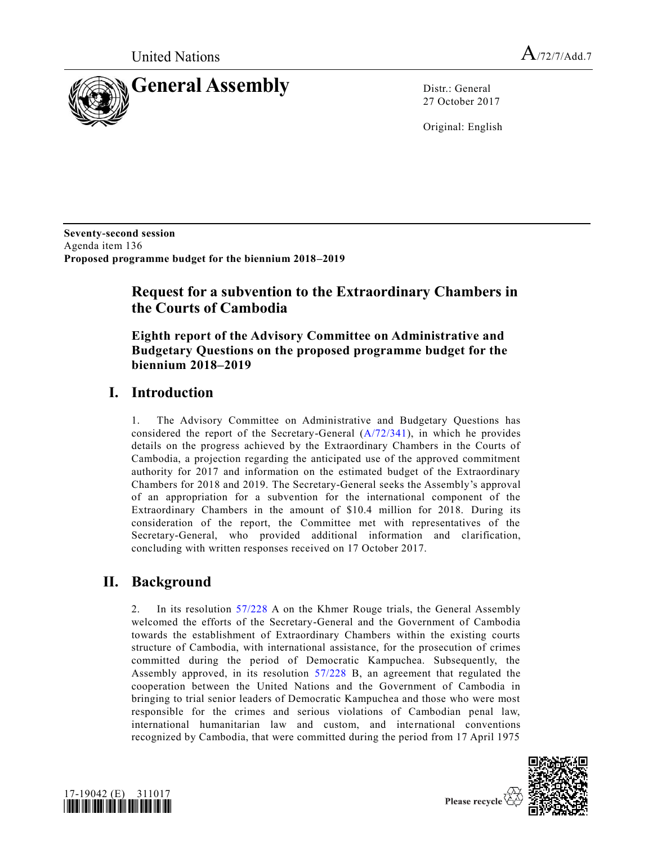United Nations  $A_{72/7/Add.7}$ 



27 October 2017

Original: English

**Seventy-second session**  Agenda item 136 **Proposed programme budget for the biennium 2018–2019** 

# **Request for a subvention to the Extraordinary Chambers in the Courts of Cambodia**

**Eighth report of the Advisory Committee on Administrative and Budgetary Questions on the proposed programme budget for the biennium 2018–2019**

## **I. Introduction**

1. The Advisory Committee on Administrative and Budgetary Questions has considered the report of the Secretary-General [\(A/72/341\)](https://undocs.org/A/72/341), in which he provides details on the progress achieved by the Extraordinary Chambers in the Courts of Cambodia, a projection regarding the anticipated use of the approved commitment authority for 2017 and information on the estimated budget of the Extraordinary Chambers for 2018 and 2019. The Secretary-General seeks the Assembly's approval of an appropriation for a subvention for the international component of the Extraordinary Chambers in the amount of \$10.4 million for 2018. During its consideration of the report, the Committee met with representatives of the Secretary-General, who provided additional information and clarification, concluding with written responses received on 17 October 2017.

# **II. Background**

2. In its resolution [57/228](https://undocs.org/A/RES/57/228) A on the Khmer Rouge trials, the General Assembly welcomed the efforts of the Secretary-General and the Government of Cambodia towards the establishment of Extraordinary Chambers within the existing courts structure of Cambodia, with international assistance, for the prosecution of crimes committed during the period of Democratic Kampuchea. Subsequently, the Assembly approved, in its resolution [57/228](https://undocs.org/A/RES/57/228) B, an agreement that regulated the cooperation between the United Nations and the Government of Cambodia in bringing to trial senior leaders of Democratic Kampuchea and those who were most responsible for the crimes and serious violations of Cambodian penal law, international humanitarian law and custom, and international conventions recognized by Cambodia, that were committed during the period from 17 April 1975



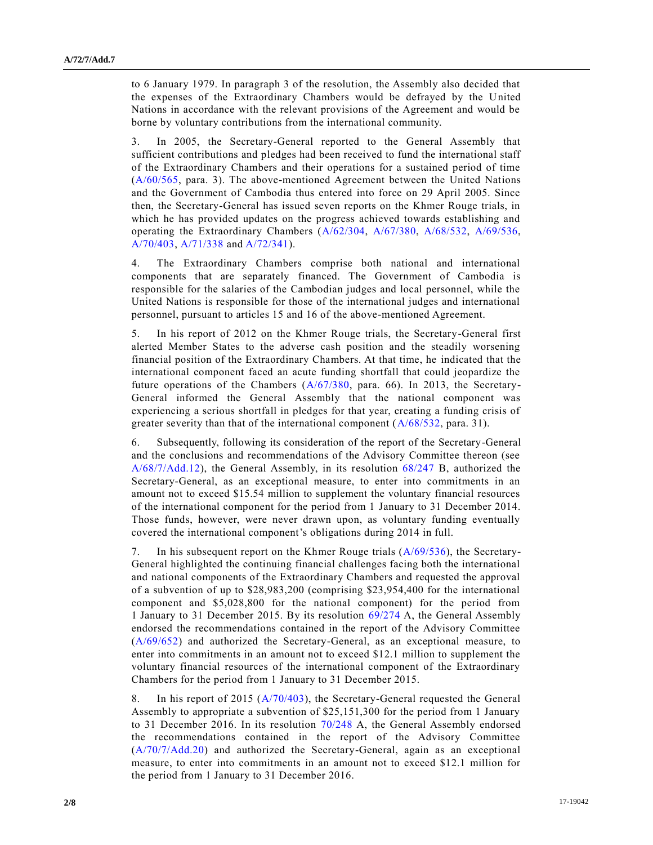to 6 January 1979. In paragraph 3 of the resolution, the Assembly also decided that the expenses of the Extraordinary Chambers would be defrayed by the United Nations in accordance with the relevant provisions of the Agreement and would be borne by voluntary contributions from the international community.

3. In 2005, the Secretary-General reported to the General Assembly that sufficient contributions and pledges had been received to fund the international staff of the Extraordinary Chambers and their operations for a sustained period of time [\(A/60/565,](https://undocs.org/A/60/565) para. 3). The above-mentioned Agreement between the United Nations and the Government of Cambodia thus entered into force on 29 April 2005. Since then, the Secretary-General has issued seven reports on the Khmer Rouge trials, in which he has provided updates on the progress achieved towards establishing and operating the Extraordinary Chambers [\(A/62/304,](https://undocs.org/A/62/304) [A/67/380,](https://undocs.org/A/67/380) [A/68/532,](https://undocs.org/A/68/532) [A/69/536,](https://undocs.org/A/69/536) [A/70/403,](https://undocs.org/A/70/403) [A/71/338](https://undocs.org/A/71/338) and [A/72/341\)](https://undocs.org/A/72/341).

4. The Extraordinary Chambers comprise both national and international components that are separately financed. The Government of Cambodia is responsible for the salaries of the Cambodian judges and local personnel, while the United Nations is responsible for those of the international judges and international personnel, pursuant to articles 15 and 16 of the above-mentioned Agreement.

5. In his report of 2012 on the Khmer Rouge trials, the Secretary-General first alerted Member States to the adverse cash position and the steadily worsening financial position of the Extraordinary Chambers. At that time, he indicated that the international component faced an acute funding shortfall that could jeopardize the future operations of the Chambers [\(A/67/380,](https://undocs.org/A/67/380) para. 66). In 2013, the Secretary-General informed the General Assembly that the national component was experiencing a serious shortfall in pledges for that year, creating a funding crisis of greater severity than that of the international component [\(A/68/532,](https://undocs.org/A/68/532) para. 31).

6. Subsequently, following its consideration of the report of the Secretary-General and the conclusions and recommendations of the Advisory Committee thereon (see [A/68/7/Add.12\)](https://undocs.org/A/68/7/Add.12), the General Assembly, in its resolution [68/247](https://undocs.org/A/RES/68/247) B, authorized the Secretary-General, as an exceptional measure, to enter into commitments in an amount not to exceed \$15.54 million to supplement the voluntary financial resources of the international component for the period from 1 January to 31 December 2014. Those funds, however, were never drawn upon, as voluntary funding eventually covered the international component's obligations during 2014 in full.

7. In his subsequent report on the Khmer Rouge trials [\(A/69/536\)](https://undocs.org/A/69/536), the Secretary-General highlighted the continuing financial challenges facing both the international and national components of the Extraordinary Chambers and requested the approval of a subvention of up to \$28,983,200 (comprising \$23,954,400 for the international component and \$5,028,800 for the national component) for the period from 1 January to 31 December 2015. By its resolution [69/274](https://undocs.org/A/RES/69/274) A, the General Assembly endorsed the recommendations contained in the report of the Advisory Committee [\(A/69/652\)](https://undocs.org/A/69/652) and authorized the Secretary-General, as an exceptional measure, to enter into commitments in an amount not to exceed \$12.1 million to supplement the voluntary financial resources of the international component of the Extraordinary Chambers for the period from 1 January to 31 December 2015.

8. In his report of 2015 [\(A/70/403\)](https://undocs.org/A/70/403), the Secretary-General requested the General Assembly to appropriate a subvention of \$25,151,300 for the period from 1 January to 31 December 2016. In its resolution [70/248](https://undocs.org/A/RES/70/248) A, the General Assembly endorsed the recommendations contained in the report of the Advisory Committee [\(A/70/7/Add.20\)](https://undocs.org/A/70/7/Add.20) and authorized the Secretary-General, again as an exceptional measure, to enter into commitments in an amount not to exceed \$12.1 million for the period from 1 January to 31 December 2016.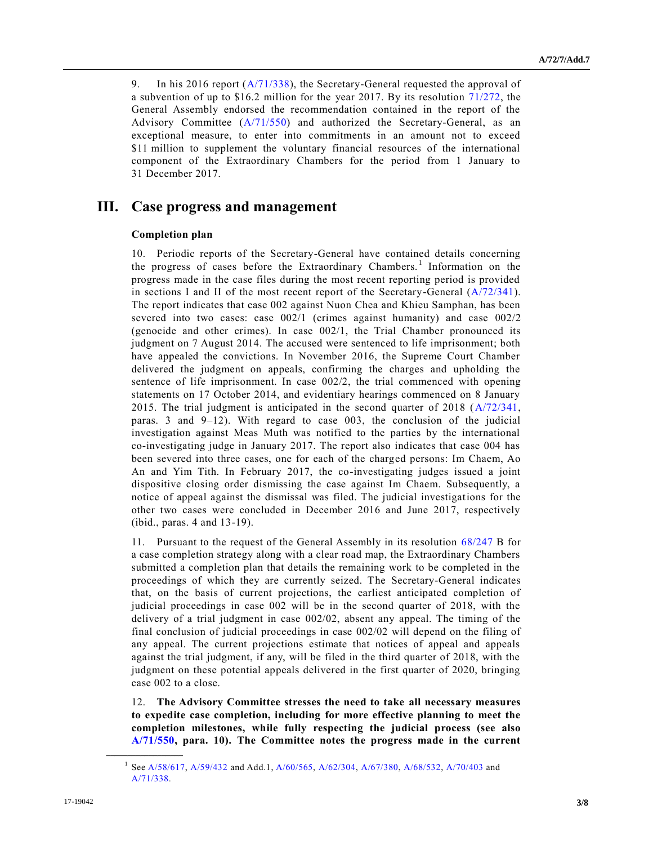9. In his 2016 report [\(A/71/338\)](https://undocs.org/A/71/338), the Secretary-General requested the approval of a subvention of up to \$16.2 million for the year 2017. By its resolution [71/272,](https://undocs.org/A/RES/71/272) the General Assembly endorsed the recommendation contained in the report of the Advisory Committee [\(A/71/550\)](https://undocs.org/A/71/550) and authorized the Secretary-General, as an exceptional measure, to enter into commitments in an amount not to exceed \$11 million to supplement the voluntary financial resources of the international component of the Extraordinary Chambers for the period from 1 January to 31 December 2017.

# **III. Case progress and management**

### **Completion plan**

10. Periodic reports of the Secretary-General have contained details concerning the progress of cases before the Extraordinary Chambers.<sup>1</sup> Information on the progress made in the case files during the most recent reporting period is provided in sections I and II of the most recent report of the Secretary-General [\(A/72/341\)](https://undocs.org/A/72/341). The report indicates that case 002 against Nuon Chea and Khieu Samphan, has been severed into two cases: case 002/1 (crimes against humanity) and case 002/2 (genocide and other crimes). In case 002/1, the Trial Chamber pronounced its judgment on 7 August 2014. The accused were sentenced to life imprisonment; both have appealed the convictions. In November 2016, the Supreme Court Chamber delivered the judgment on appeals, confirming the charges and upholding the sentence of life imprisonment. In case 002/2, the trial commenced with opening statements on 17 October 2014, and evidentiary hearings commenced on 8 January 2015. The trial judgment is anticipated in the second quarter of 2018 [\(A/72/341,](https://undocs.org/A/72/341) paras. 3 and 9–12). With regard to case 003, the conclusion of the judicial investigation against Meas Muth was notified to the parties by the international co-investigating judge in January 2017. The report also indicates that case 004 has been severed into three cases, one for each of the charged persons: Im Chaem, Ao An and Yim Tith. In February 2017, the co-investigating judges issued a joint dispositive closing order dismissing the case against Im Chaem. Subsequently, a notice of appeal against the dismissal was filed. The judicial investigations for the other two cases were concluded in December 2016 and June 2017, respectively (ibid., paras. 4 and 13-19).

11. Pursuant to the request of the General Assembly in its resolution [68/247](https://undocs.org/A/RES/68/247) B for a case completion strategy along with a clear road map, the Extraordinary Chambers submitted a completion plan that details the remaining work to be completed in the proceedings of which they are currently seized. The Secretary-General indicates that, on the basis of current projections, the earliest anticipated completion of judicial proceedings in case 002 will be in the second quarter of 2018, with the delivery of a trial judgment in case 002/02, absent any appeal. The timing of the final conclusion of judicial proceedings in case 002/02 will depend on the filing of any appeal. The current projections estimate that notices of appeal and appeals against the trial judgment, if any, will be filed in the third quarter of 2018, with the judgment on these potential appeals delivered in the first quarter of 2020, bringing case 002 to a close.

12. **The Advisory Committee stresses the need to take all necessary measures to expedite case completion, including for more effective planning to meet the completion milestones, while fully respecting the judicial process (see also [A/71/550,](https://undocs.org/A/71/550) para. 10). The Committee notes the progress made in the current** 

**\_\_\_\_\_\_\_\_\_\_\_\_\_\_\_\_\_\_**

1

Se[e A/58/617,](https://undocs.org/A/58/617) [A/59/432](https://undocs.org/A/59/432) and Add.1[, A/60/565,](https://undocs.org/A/60/565) [A/62/304,](https://undocs.org/A/62/304) [A/67/380,](https://undocs.org/A/67/380) [A/68/532,](https://undocs.org/A/68/532) [A/70/403](https://undocs.org/A/70/403) and [A/71/338.](https://undocs.org/A/71/338)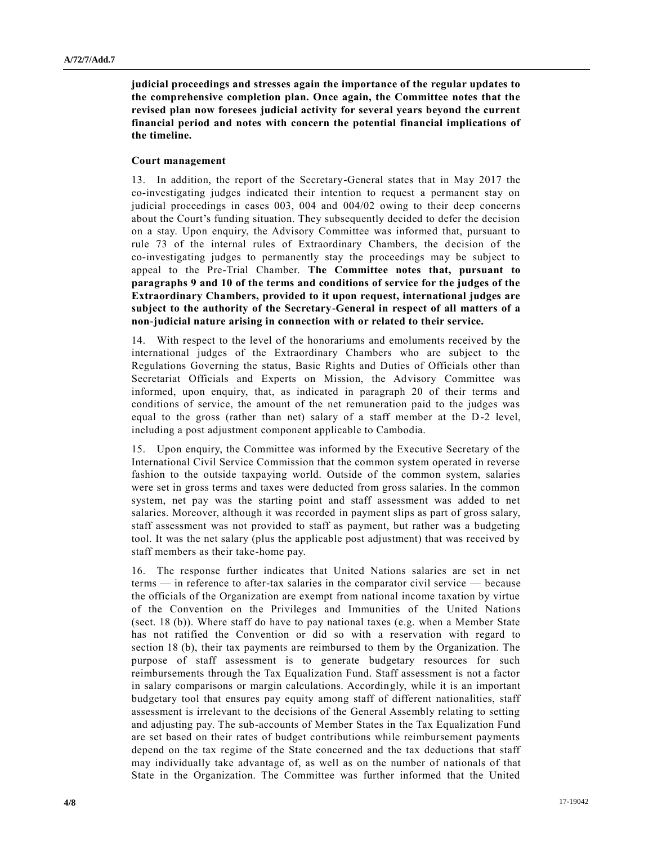**judicial proceedings and stresses again the importance of the regular updates to the comprehensive completion plan. Once again, the Committee notes that the revised plan now foresees judicial activity for several years beyond the current financial period and notes with concern the potential financial implications of the timeline.**

#### **Court management**

13. In addition, the report of the Secretary-General states that in May 2017 the co-investigating judges indicated their intention to request a permanent stay on judicial proceedings in cases 003, 004 and 004/02 owing to their deep concerns about the Court's funding situation. They subsequently decided to defer the decision on a stay. Upon enquiry, the Advisory Committee was informed that, pursuant to rule 73 of the internal rules of Extraordinary Chambers, the decision of the co-investigating judges to permanently stay the proceedings may be subject to appeal to the Pre-Trial Chamber. **The Committee notes that, pursuant to paragraphs 9 and 10 of the terms and conditions of service for the judges of the Extraordinary Chambers, provided to it upon request, international judges are subject to the authority of the Secretary-General in respect of all matters of a non-judicial nature arising in connection with or related to their service.**

14. With respect to the level of the honorariums and emoluments received by the international judges of the Extraordinary Chambers who are subject to the Regulations Governing the status, Basic Rights and Duties of Officials other than Secretariat Officials and Experts on Mission, the Advisory Committee was informed, upon enquiry, that, as indicated in paragraph 20 of their terms and conditions of service, the amount of the net remuneration paid to the judges was equal to the gross (rather than net) salary of a staff member at the D-2 level, including a post adjustment component applicable to Cambodia.

15. Upon enquiry, the Committee was informed by the Executive Secretary of the International Civil Service Commission that the common system operated in reverse fashion to the outside taxpaying world. Outside of the common system, salaries were set in gross terms and taxes were deducted from gross salaries. In the common system, net pay was the starting point and staff assessment was added to net salaries. Moreover, although it was recorded in payment slips as part of gross salary, staff assessment was not provided to staff as payment, but rather was a budgeting tool. It was the net salary (plus the applicable post adjustment) that was received by staff members as their take-home pay.

16. The response further indicates that United Nations salaries are set in net terms — in reference to after-tax salaries in the comparator civil service — because the officials of the Organization are exempt from national income taxation by virtue of the Convention on the Privileges and Immunities of the United Nations (sect. 18 (b)). Where staff do have to pay national taxes (e.g. when a Member State has not ratified the Convention or did so with a reservation with regard to section 18 (b), their tax payments are reimbursed to them by the Organization. The purpose of staff assessment is to generate budgetary resources for such reimbursements through the Tax Equalization Fund. Staff assessment is not a factor in salary comparisons or margin calculations. Accordingly, while it is an important budgetary tool that ensures pay equity among staff of different nationalities, staff assessment is irrelevant to the decisions of the General Assembly relating to setting and adjusting pay. The sub-accounts of Member States in the Tax Equalization Fund are set based on their rates of budget contributions while reimbursement payments depend on the tax regime of the State concerned and the tax deductions that staff may individually take advantage of, as well as on the number of nationals of that State in the Organization. The Committee was further informed that the United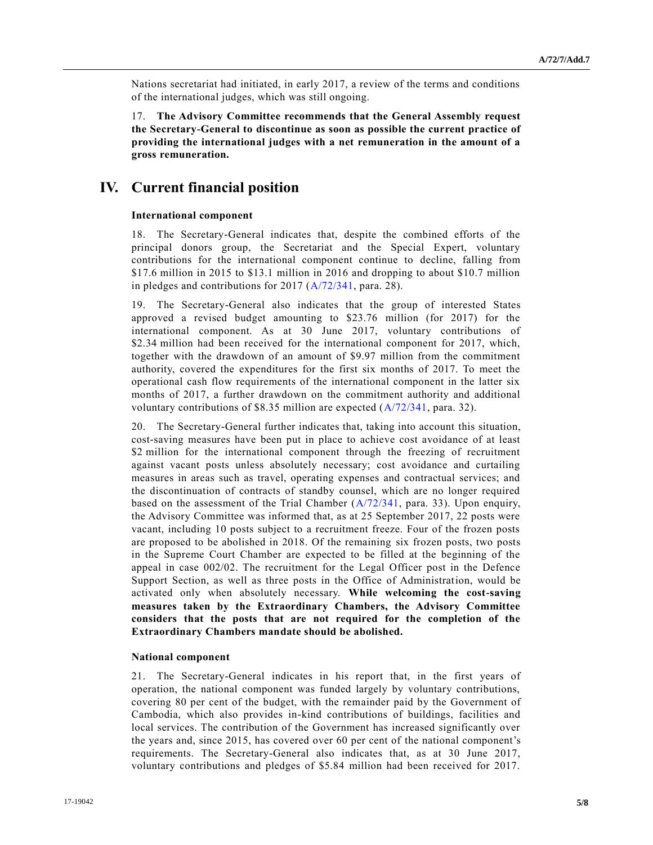Nations secretariat had initiated, in early 2017, a review of the terms and conditions of the international judges, which was still ongoing.

17. **The Advisory Committee recommends that the General Assembly request the Secretary-General to discontinue as soon as possible the current practice of providing the international judges with a net remuneration in the amount of a gross remuneration.**

### **IV. Current financial position**

### **International component**

18. The Secretary-General indicates that, despite the combined efforts of the principal donors group, the Secretariat and the Special Expert, voluntary contributions for the international component continue to decline, falling from \$17.6 million in 2015 to \$13.1 million in 2016 and dropping to about \$10.7 million in pledges and contributions for 2017 [\(A/72/341,](https://undocs.org/A/72/341) para. 28).

19. The Secretary-General also indicates that the group of interested States approved a revised budget amounting to \$23.76 million (for 2017) for the international component. As at 30 June 2017, voluntary contributions of \$2.34 million had been received for the international component for 2017, which, together with the drawdown of an amount of \$9.97 million from the commitment authority, covered the expenditures for the first six months of 2017. To meet the operational cash flow requirements of the international component in the latter six months of 2017, a further drawdown on the commitment authority and additional voluntary contributions of \$8.35 million are expected [\(A/72/341,](https://undocs.org/A/72/341) para. 32).

20. The Secretary-General further indicates that, taking into account this situation, cost-saving measures have been put in place to achieve cost avoidance of at least \$2 million for the international component through the freezing of recruitment against vacant posts unless absolutely necessary; cost avoidance and curtailing measures in areas such as travel, operating expenses and contractual services; and the discontinuation of contracts of standby counsel, which are no longer required based on the assessment of the Trial Chamber [\(A/72/341,](https://undocs.org/A/72/341) para. 33). Upon enquiry, the Advisory Committee was informed that, as at 25 September 2017, 22 posts were vacant, including 10 posts subject to a recruitment freeze. Four of the frozen posts are proposed to be abolished in 2018. Of the remaining six frozen posts, two posts in the Supreme Court Chamber are expected to be filled at the beginning of the appeal in case 002/02. The recruitment for the Legal Officer post in the Defence Support Section, as well as three posts in the Office of Administration, would be activated only when absolutely necessary. **While welcoming the cost-saving measures taken by the Extraordinary Chambers, the Advisory Committee considers that the posts that are not required for the completion of the Extraordinary Chambers mandate should be abolished.**

### **National component**

21. The Secretary-General indicates in his report that, in the first years of operation, the national component was funded largely by voluntary contributions, covering 80 per cent of the budget, with the remainder paid by the Government of Cambodia, which also provides in-kind contributions of buildings, facilities and local services. The contribution of the Government has increased significantly over the years and, since 2015, has covered over 60 per cent of the national component's requirements. The Secretary-General also indicates that, as at 30 June 2017, voluntary contributions and pledges of \$5.84 million had been received for 2017.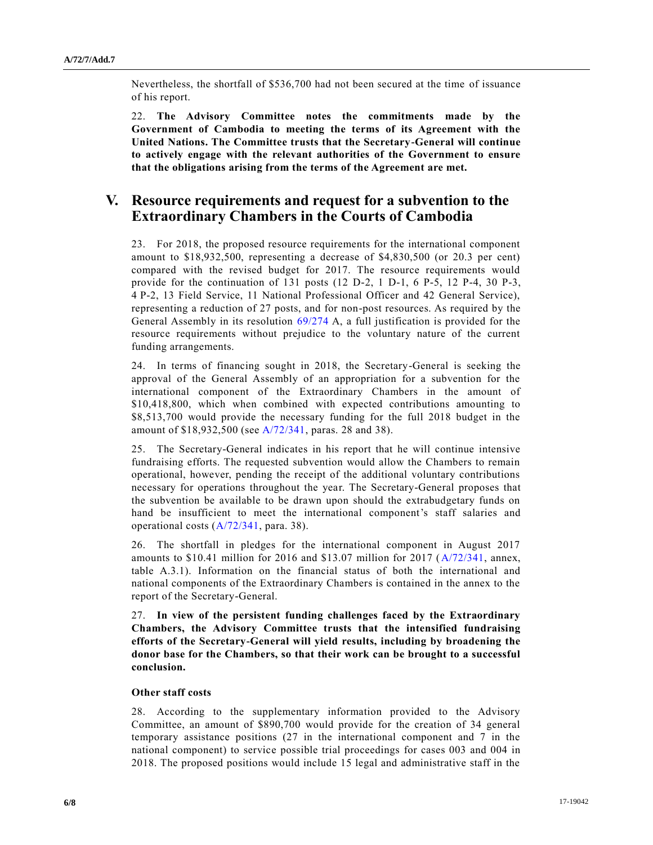Nevertheless, the shortfall of \$536,700 had not been secured at the time of issuance of his report.

22. **The Advisory Committee notes the commitments made by the Government of Cambodia to meeting the terms of its Agreement with the United Nations. The Committee trusts that the Secretary-General will continue to actively engage with the relevant authorities of the Government to ensure that the obligations arising from the terms of the Agreement are met.**

## **V. Resource requirements and request for a subvention to the Extraordinary Chambers in the Courts of Cambodia**

23. For 2018, the proposed resource requirements for the international component amount to \$18,932,500, representing a decrease of \$4,830,500 (or 20.3 per cent) compared with the revised budget for 2017. The resource requirements would provide for the continuation of 131 posts  $(12 \text{ D-2}, 1 \text{ D-1}, 6 \text{ P-5}, 12 \text{ P-4}, 30 \text{ P-3},$ 4 P-2, 13 Field Service, 11 National Professional Officer and 42 General Service), representing a reduction of 27 posts, and for non-post resources. As required by the General Assembly in its resolution [69/274](https://undocs.org/A/RES/69/274) A, a full justification is provided for the resource requirements without prejudice to the voluntary nature of the current funding arrangements.

24. In terms of financing sought in 2018, the Secretary-General is seeking the approval of the General Assembly of an appropriation for a subvention for the international component of the Extraordinary Chambers in the amount of \$10,418,800, which when combined with expected contributions amounting to \$8,513,700 would provide the necessary funding for the full 2018 budget in the amount of \$18,932,500 (see [A/72/341,](https://undocs.org/A/72/341) paras. 28 and 38).

25. The Secretary-General indicates in his report that he will continue intensive fundraising efforts. The requested subvention would allow the Chambers to remain operational, however, pending the receipt of the additional voluntary contributions necessary for operations throughout the year. The Secretary-General proposes that the subvention be available to be drawn upon should the extrabudgetary funds on hand be insufficient to meet the international component's staff salaries and operational costs [\(A/72/341,](https://undocs.org/A/72/341) para. 38).

26. The shortfall in pledges for the international component in August 2017 amounts to \$10.41 million for 2016 and \$13.07 million for 2017 [\(A/72/341,](https://undocs.org/A/72/341) annex, table A.3.1). Information on the financial status of both the international and national components of the Extraordinary Chambers is contained in the annex to the report of the Secretary-General.

27. **In view of the persistent funding challenges faced by the Extraordinary Chambers, the Advisory Committee trusts that the intensified fundraising efforts of the Secretary-General will yield results, including by broadening the donor base for the Chambers, so that their work can be brought to a successful conclusion.**

### **Other staff costs**

28. According to the supplementary information provided to the Advisory Committee, an amount of \$890,700 would provide for the creation of 34 general temporary assistance positions (27 in the international component and 7 in the national component) to service possible trial proceedings for cases 003 and 004 in 2018. The proposed positions would include 15 legal and administrative staff in the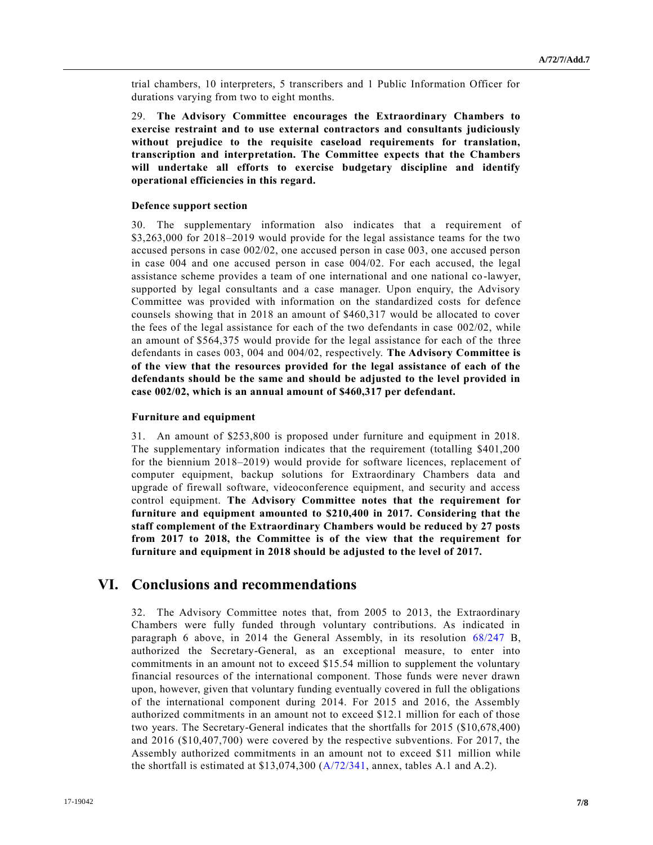trial chambers, 10 interpreters, 5 transcribers and 1 Public Information Officer for durations varying from two to eight months.

29. **The Advisory Committee encourages the Extraordinary Chambers to exercise restraint and to use external contractors and consultants judiciously without prejudice to the requisite caseload requirements for translation, transcription and interpretation. The Committee expects that the Chambers will undertake all efforts to exercise budgetary discipline and identify operational efficiencies in this regard.**

### **Defence support section**

30. The supplementary information also indicates that a requirement of \$3,263,000 for 2018–2019 would provide for the legal assistance teams for the two accused persons in case 002/02, one accused person in case 003, one accused person in case 004 and one accused person in case 004/02. For each accused, the legal assistance scheme provides a team of one international and one national co -lawyer, supported by legal consultants and a case manager. Upon enquiry, the Advisory Committee was provided with information on the standardized costs for defence counsels showing that in 2018 an amount of \$460,317 would be allocated to cover the fees of the legal assistance for each of the two defendants in case 002/02, while an amount of \$564,375 would provide for the legal assistance for each of the three defendants in cases 003, 004 and 004/02, respectively. **The Advisory Committee is of the view that the resources provided for the legal assistance of each of the defendants should be the same and should be adjusted to the level provided in case 002/02, which is an annual amount of \$460,317 per defendant.**

### **Furniture and equipment**

31. An amount of \$253,800 is proposed under furniture and equipment in 2018. The supplementary information indicates that the requirement (totalling \$401,200 for the biennium 2018–2019) would provide for software licences, replacement of computer equipment, backup solutions for Extraordinary Chambers data and upgrade of firewall software, videoconference equipment, and security and access control equipment. **The Advisory Committee notes that the requirement for furniture and equipment amounted to \$210,400 in 2017. Considering that the staff complement of the Extraordinary Chambers would be reduced by 27 posts from 2017 to 2018, the Committee is of the view that the requirement for furniture and equipment in 2018 should be adjusted to the level of 2017.**

# **VI. Conclusions and recommendations**

32. The Advisory Committee notes that, from 2005 to 2013, the Extraordinary Chambers were fully funded through voluntary contributions. As indicated in paragraph 6 above, in 2014 the General Assembly, in its resolution [68/247](https://undocs.org/A/RES/68/247) B, authorized the Secretary-General, as an exceptional measure, to enter into commitments in an amount not to exceed \$15.54 million to supplement the voluntary financial resources of the international component. Those funds were never drawn upon, however, given that voluntary funding eventually covered in full the obligations of the international component during 2014. For 2015 and 2016, the Assembly authorized commitments in an amount not to exceed \$12.1 million for each of those two years. The Secretary-General indicates that the shortfalls for 2015 (\$10,678,400) and 2016 (\$10,407,700) were covered by the respective subventions. For 2017, the Assembly authorized commitments in an amount not to exceed \$11 million while the shortfall is estimated at \$13,074,300 [\(A/72/341,](https://undocs.org/A/72/341) annex, tables A.1 and A.2).